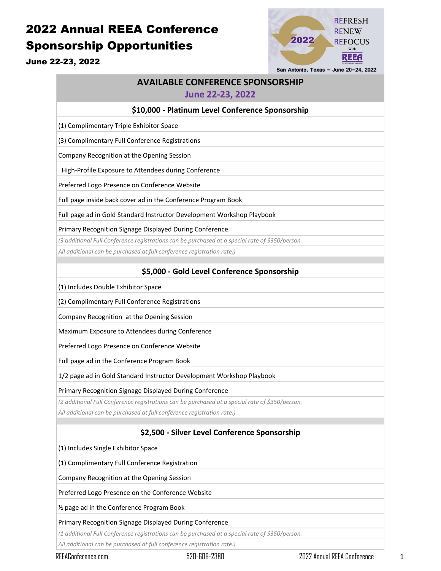# 2022 Annual REEA Conference Sponsorship Opportunities



June 22-23, 2022

San Antonio, Texas - June 20-24, 2022

## **AVAILABLE CONFERENCE SPONSORSHIP**

#### **June 22-23, 2022**

#### **\$10,000 - Platinum Level Conference Sponsorship**

(1) Complimentary Triple Exhibitor Space

(3) Complimentary Full Conference Registrations

Company Recognition at the Opening Session

High-Profile Exposure to Attendees during Conference

Preferred Logo Presence on Conference Website

Full page inside back cover ad in the Conference Program Book

Full page ad in Gold Standard Instructor Development Workshop Playbook

Primary Recognition Signage Displayed During Conference

*(3 additional Full Conference registrations can be purchased at a special rate of \$350/person.*

*All additional can be purchased at full conference registration rate.)*

## **\$5,000 - Gold Level Conference Sponsorship**

(1) Includes Double Exhibitor Space

(2) Complimentary Full Conference Registrations

Company Recognition at the Opening Session

Maximum Exposure to Attendees during Conference

Preferred Logo Presence on Conference Website

Full page ad in the Conference Program Book

1/2 page ad in Gold Standard Instructor Development Workshop Playbook

Primary Recognition Signage Displayed During Conference

*(2 additional Full Conference registrations can be purchased at a special rate of \$350/person.*

*All additional can be purchased at full conference registration rate.)*

## **\$2,500 - Silver Level Conference Sponsorship**

(1) Includes Single Exhibitor Space

(1) Complimentary Full Conference Registration

Company Recognition at the Opening Session

Preferred Logo Presence on the Conference Website

½ page ad in the Conference Program Book

#### Primary Recognition Signage Displayed During Conference

*(1 additional Full Conference registrations can be purchased at a special rate of \$350/person.*

*All additional can be purchased at full conference registration rate.)*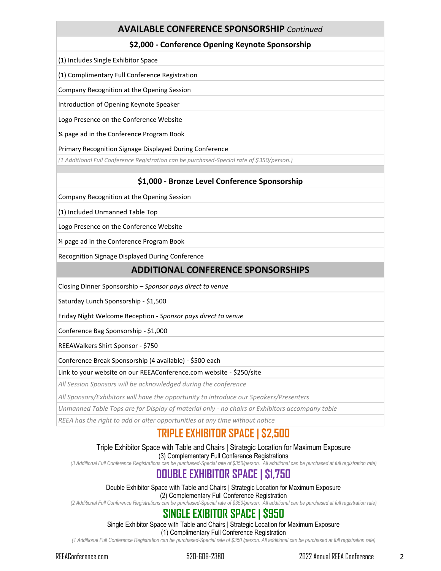## **AVAILABLE CONFERENCE SPONSORSHIP** *Continued*

## **\$2,000 - Conference Opening Keynote Sponsorship**

(1) Includes Single Exhibitor Space

(1) Complimentary Full Conference Registration

Company Recognition at the Opening Session

Introduction of Opening Keynote Speaker

Logo Presence on the Conference Website

¼ page ad in the Conference Program Book

Primary Recognition Signage Displayed During Conference

*(1 Additional Full Conference Registration can be purchased-Special rate of \$350/person.)*

### **\$1,000 - Bronze Level Conference Sponsorship**

Company Recognition at the Opening Session

(1) Included Unmanned Table Top

Logo Presence on the Conference Website

¼ page ad in the Conference Program Book

Recognition Signage Displayed During Conference

## **ADDITIONAL CONFERENCE SPONSORSHIPS**

Closing Dinner Sponsorship – *Sponsor pays direct to venue*

Saturday Lunch Sponsorship - \$1,500

Friday Night Welcome Reception - *Sponsor pays direct to venue*

Conference Bag Sponsorship - \$1,000

REEAWalkers Shirt Sponsor - \$750

Conference Break Sponsorship (4 available) - \$500 each

Link to your website on our REEAConference.com website - \$250/site

*All Session Sponsors will be acknowledged during the conference*

*All Sponsors/Exhibitors will have the opportunity to introduce our Speakers/Presenters*

*Unmanned Table Tops are for Display of material only - no chairs or Exhibitors accompany table*

*REEA has the right to add or alter opportunities at any time without notice*

## **TRIPLE EXHIBITOR SPACE | \$2,500**

#### Triple Exhibitor Space with Table and Chairs | Strategic Location for Maximum Exposure (3) Complementary Full Conference Registrations

*(3 Additional Full Conference Registrations can be purchased-Special rate of \$350/person. All additional can be purchased at full registration rate)*

## **DOUBLE EXHIBITOR SPACE | \$1,750**

Double Exhibitor Space with Table and Chairs | Strategic Location for Maximum Exposure (2) Complementary Full Conference Registration

*(2 Additional Full Conference Registrations can be purchased-Special rate of \$350/person. All additional can be purchased at full registration rate)*

## **SINGLE EXIBITOR SPACE | \$950**

Single Exhibitor Space with Table and Chairs | Strategic Location for Maximum Exposure

(1) Complimentary Full Conference Registration

*(1 Additional Full Conference Registration can be purchased-Special rate of \$350 /person. All additional can be purchased at full registration rate)*

REEAConference.com 520-609-2380 2022 Annual REEA Conference 2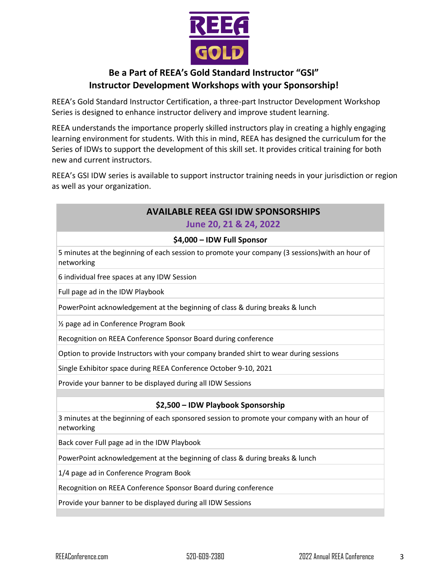

## **Be a Part of REEA's Gold Standard Instructor "GSI" Instructor Development Workshops with your Sponsorship!**

REEA's Gold Standard Instructor Certification, a three-part Instructor Development Workshop Series is designed to enhance instructor delivery and improve student learning.

REEA understands the importance properly skilled instructors play in creating a highly engaging learning environment for students. With this in mind, REEA has designed the curriculum for the Series of IDWs to support the development of this skill set. It provides critical training for both new and current instructors.

REEA's GSI IDW series is available to support instructor training needs in your jurisdiction or region as well as your organization.

## **AVAILABLE REEA GSI IDW SPONSORSHIPS June 20, 21 & 24, 2022**

### **\$4,000 – IDW Full Sponsor**

5 minutes at the beginning of each session to promote your company (3 sessions)with an hour of networking

6 individual free spaces at any IDW Session

Full page ad in the IDW Playbook

PowerPoint acknowledgement at the beginning of class & during breaks & lunch

½ page ad in Conference Program Book

Recognition on REEA Conference Sponsor Board during conference

Option to provide Instructors with your company branded shirt to wear during sessions

Single Exhibitor space during REEA Conference October 9-10, 2021

Provide your banner to be displayed during all IDW Sessions

### **\$2,500 – IDW Playbook Sponsorship**

3 minutes at the beginning of each sponsored session to promote your company with an hour of networking

Back cover Full page ad in the IDW Playbook

PowerPoint acknowledgement at the beginning of class & during breaks & lunch

1/4 page ad in Conference Program Book

Recognition on REEA Conference Sponsor Board during conference

Provide your banner to be displayed during all IDW Sessions